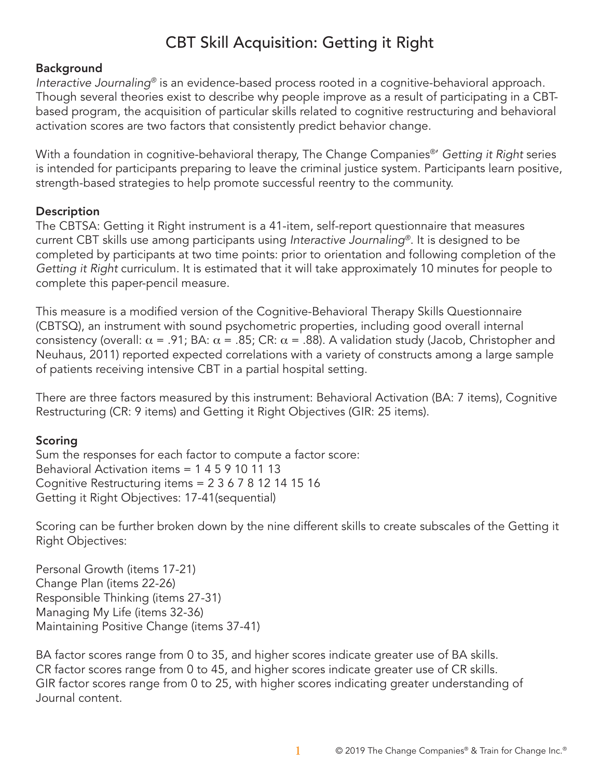# CBT Skill Acquisition: Getting it Right

## Background

*Interactive Journaling®* is an evidence-based process rooted in a cognitive-behavioral approach. Though several theories exist to describe why people improve as a result of participating in a CBTbased program, the acquisition of particular skills related to cognitive restructuring and behavioral activation scores are two factors that consistently predict behavior change.

With a foundation in cognitive-behavioral therapy, The Change Companies®' *Getting it Right* series is intended for participants preparing to leave the criminal justice system. Participants learn positive, strength-based strategies to help promote successful reentry to the community.

## **Description**

The CBTSA: Getting it Right instrument is a 41-item, self-report questionnaire that measures current CBT skills use among participants using *Interactive Journaling®*. It is designed to be completed by participants at two time points: prior to orientation and following completion of the *Getting it Right* curriculum. It is estimated that it will take approximately 10 minutes for people to complete this paper-pencil measure.

This measure is a modified version of the Cognitive-Behavioral Therapy Skills Questionnaire (CBTSQ), an instrument with sound psychometric properties, including good overall internal consistency (overall:  $\alpha$  = .91; BA:  $\alpha$  = .85; CR:  $\alpha$  = .88). A validation study (Jacob, Christopher and Neuhaus, 2011) reported expected correlations with a variety of constructs among a large sample of patients receiving intensive CBT in a partial hospital setting.

There are three factors measured by this instrument: Behavioral Activation (BA: 7 items), Cognitive Restructuring (CR: 9 items) and Getting it Right Objectives (GIR: 25 items).

## Scoring

Sum the responses for each factor to compute a factor score: Behavioral Activation items = 1 4 5 9 10 11 13 Cognitive Restructuring items = 2 3 6 7 8 12 14 15 16 Getting it Right Objectives: 17-41(sequential)

Scoring can be further broken down by the nine different skills to create subscales of the Getting it Right Objectives:

Personal Growth (items 17-21) Change Plan (items 22-26) Responsible Thinking (items 27-31) Managing My Life (items 32-36) Maintaining Positive Change (items 37-41)

BA factor scores range from 0 to 35, and higher scores indicate greater use of BA skills. CR factor scores range from 0 to 45, and higher scores indicate greater use of CR skills. GIR factor scores range from 0 to 25, with higher scores indicating greater understanding of Journal content.